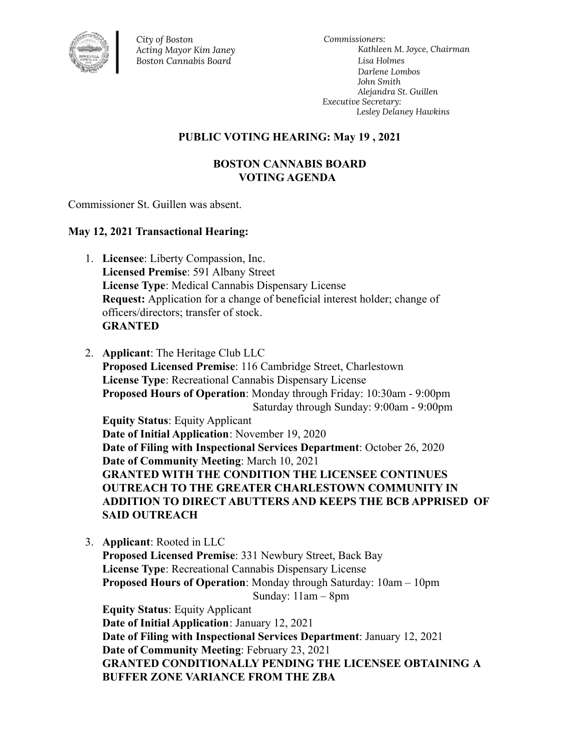

*City of Boston Acting Mayor Kim Janey Boston Cannabis Board*

*Commissioners: Kathleen M. Joyce, Chairman Lisa Holmes Darlene Lombos John Smith Alejandra St. Guillen Executive Secretary: Lesley Delaney Hawkins*

## **PUBLIC VOTING HEARING: May 19 , 2021**

## **BOSTON CANNABIS BOARD VOTING AGENDA**

Commissioner St. Guillen was absent.

## **May 12, 2021 Transactional Hearing:**

- 1. **Licensee**: Liberty Compassion, Inc. **Licensed Premise**: 591 Albany Street **License Type**: Medical Cannabis Dispensary License **Request:** Application for a change of beneficial interest holder; change of officers/directors; transfer of stock. **GRANTED**
- 2. **Applicant**: The Heritage Club LLC **Proposed Licensed Premise**: 116 Cambridge Street, Charlestown **License Type**: Recreational Cannabis Dispensary License **Proposed Hours of Operation**: Monday through Friday: 10:30am - 9:00pm Saturday through Sunday: 9:00am - 9:00pm **Equity Status**: Equity Applicant **Date of Initial Application**: November 19, 2020 **Date of Filing with Inspectional Services Department**: October 26, 2020 **Date of Community Meeting**: March 10, 2021 **GRANTED WITH THE CONDITION THE LICENSEE CONTINUES OUTREACH TO THE GREATER CHARLESTOWN COMMUNITY IN ADDITION TO DIRECT ABUTTERS AND KEEPS THE BCB APPRISED OF SAID OUTREACH**
- 3. **Applicant**: Rooted in LLC **Proposed Licensed Premise**: 331 Newbury Street, Back Bay **License Type**: Recreational Cannabis Dispensary License **Proposed Hours of Operation**: Monday through Saturday: 10am – 10pm Sunday: 11am – 8pm **Equity Status**: Equity Applicant **Date of Initial Application**: January 12, 2021 **Date of Filing with Inspectional Services Department**: January 12, 2021 **Date of Community Meeting**: February 23, 2021 **GRANTED CONDITIONALLY PENDING THE LICENSEE OBTAINING A BUFFER ZONE VARIANCE FROM THE ZBA**